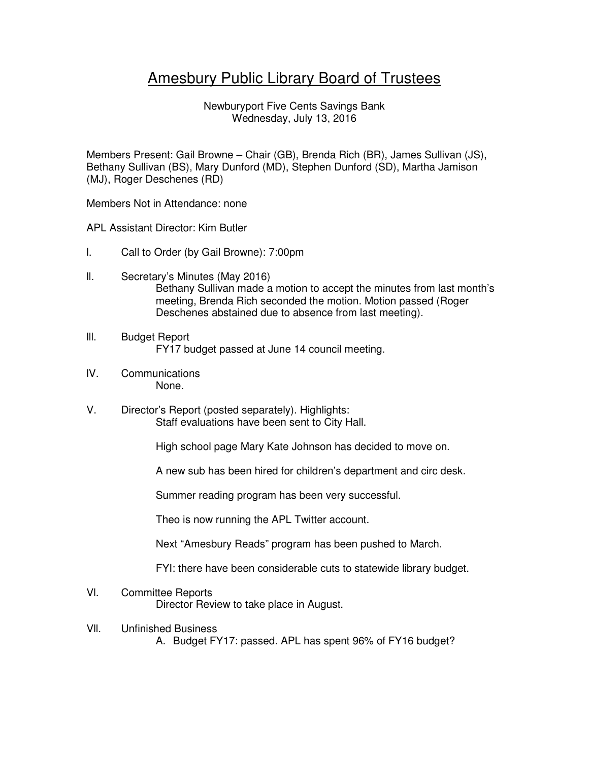## Amesbury Public Library Board of Trustees

Newburyport Five Cents Savings Bank Wednesday, July 13, 2016

Members Present: Gail Browne – Chair (GB), Brenda Rich (BR), James Sullivan (JS), Bethany Sullivan (BS), Mary Dunford (MD), Stephen Dunford (SD), Martha Jamison (MJ), Roger Deschenes (RD)

Members Not in Attendance: none

APL Assistant Director: Kim Butler

- l. Call to Order (by Gail Browne): 7:00pm
- ll. Secretary's Minutes (May 2016) Bethany Sullivan made a motion to accept the minutes from last month's meeting, Brenda Rich seconded the motion. Motion passed (Roger Deschenes abstained due to absence from last meeting).
- lll. Budget Report FY17 budget passed at June 14 council meeting.
- lV. Communications None.
- V. Director's Report (posted separately). Highlights: Staff evaluations have been sent to City Hall.

High school page Mary Kate Johnson has decided to move on.

A new sub has been hired for children's department and circ desk.

Summer reading program has been very successful.

Theo is now running the APL Twitter account.

Next "Amesbury Reads" program has been pushed to March.

FYI: there have been considerable cuts to statewide library budget.

## Vl. Committee Reports Director Review to take place in August.

- Vll. Unfinished Business
	- A. Budget FY17: passed. APL has spent 96% of FY16 budget?